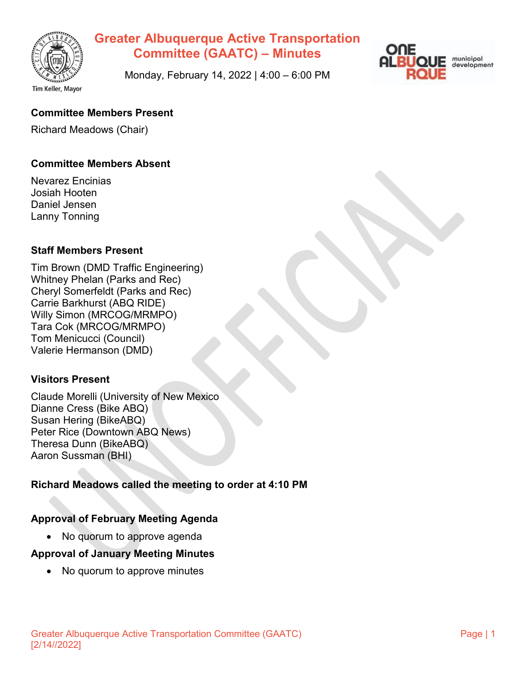



Monday, February 14, 2022 | 4:00 – 6:00 PM

## **Committee Members Present**

Richard Meadows (Chair)

#### **Committee Members Absent**

Nevarez Encinias Josiah Hooten Daniel Jensen Lanny Tonning

#### **Staff Members Present**

Tim Brown (DMD Traffic Engineering) Whitney Phelan (Parks and Rec) Cheryl Somerfeldt (Parks and Rec) Carrie Barkhurst (ABQ RIDE) Willy Simon (MRCOG/MRMPO) Tara Cok (MRCOG/MRMPO) Tom Menicucci (Council) Valerie Hermanson (DMD)

#### **Visitors Present**

Claude Morelli (University of New Mexico Dianne Cress (Bike ABQ) Susan Hering (BikeABQ) Peter Rice (Downtown ABQ News) Theresa Dunn (BikeABQ) Aaron Sussman (BHI)

#### **Richard Meadows called the meeting to order at 4:10 PM**

#### **Approval of February Meeting Agenda**

• No quorum to approve agenda

#### **Approval of January Meeting Minutes**

• No quorum to approve minutes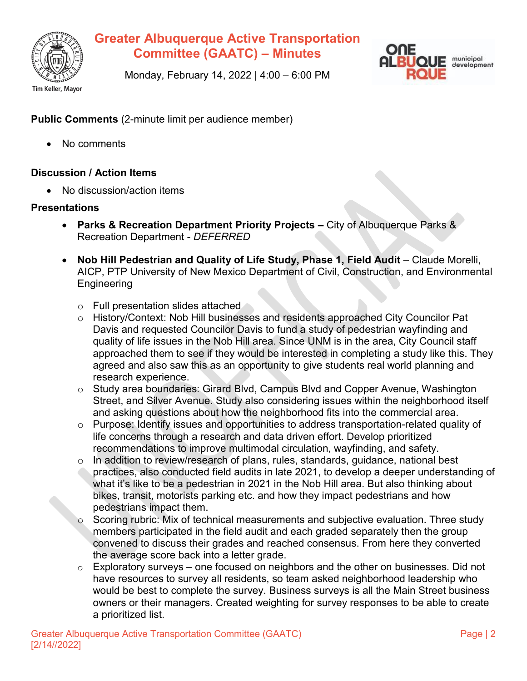



Monday, February 14, 2022 | 4:00 – 6:00 PM

**Public Comments** (2-minute limit per audience member)

• No comments

#### **Discussion / Action Items**

• No discussion/action items

#### **Presentations**

- **Parks & Recreation Department Priority Projects –** City of Albuquerque Parks & Recreation Department - *DEFERRED*
- **Nob Hill Pedestrian and Quality of Life Study, Phase 1, Field Audit** Claude Morelli, AICP, PTP University of New Mexico Department of Civil, Construction, and Environmental **Engineering** 
	- o Full presentation slides attached
	- o History/Context: Nob Hill businesses and residents approached City Councilor Pat Davis and requested Councilor Davis to fund a study of pedestrian wayfinding and quality of life issues in the Nob Hill area. Since UNM is in the area, City Council staff approached them to see if they would be interested in completing a study like this. They agreed and also saw this as an opportunity to give students real world planning and research experience.
	- o Study area boundaries: Girard Blvd, Campus Blvd and Copper Avenue, Washington Street, and Silver Avenue. Study also considering issues within the neighborhood itself and asking questions about how the neighborhood fits into the commercial area.
	- o Purpose: Identify issues and opportunities to address transportation-related quality of life concerns through a research and data driven effort. Develop prioritized recommendations to improve multimodal circulation, wayfinding, and safety.
	- $\circ$  In addition to review/research of plans, rules, standards, guidance, national best practices, also conducted field audits in late 2021, to develop a deeper understanding of what it's like to be a pedestrian in 2021 in the Nob Hill area. But also thinking about bikes, transit, motorists parking etc. and how they impact pedestrians and how pedestrians impact them.
	- $\circ$  Scoring rubric: Mix of technical measurements and subjective evaluation. Three study members participated in the field audit and each graded separately then the group convened to discuss their grades and reached consensus. From here they converted the average score back into a letter grade.
	- $\circ$  Exploratory surveys one focused on neighbors and the other on businesses. Did not have resources to survey all residents, so team asked neighborhood leadership who would be best to complete the survey. Business surveys is all the Main Street business owners or their managers. Created weighting for survey responses to be able to create a prioritized list.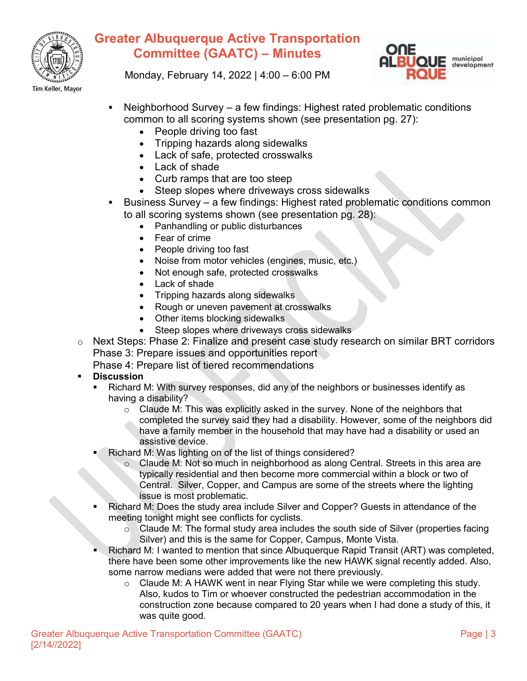



Monday, February 14, 2022 | 4:00 – 6:00 PM

- Neighborhood Survey a few findings: Highest rated problematic conditions common to all scoring systems shown (see presentation pg. 27):
	- People driving too fast
	- Tripping hazards along sidewalks
	- Lack of safe, protected crosswalks
	- Lack of shade
	- Curb ramps that are too steep
	- Steep slopes where driveways cross sidewalks
- Business Survey a few findings: Highest rated problematic conditions common to all scoring systems shown (see presentation pg. 28):
	- Panhandling or public disturbances
	- Fear of crime
	- People driving too fast
	- Noise from motor vehicles (engines, music, etc.)
	- Not enough safe, protected crosswalks
	- Lack of shade
	- Tripping hazards along sidewalks
	- Rough or uneven pavement at crosswalks
	- Other items blocking sidewalks
	- Steep slopes where driveways cross sidewalks
- o Next Steps: Phase 2: Finalize and present case study research on similar BRT corridors Phase 3: Prepare issues and opportunities report
	- Phase 4: Prepare list of tiered recommendations
- **Discussion**
	- Richard M: With survey responses, did any of the neighbors or businesses identify as having a disability?
		- $\circ$  Claude M: This was explicitly asked in the survey. None of the neighbors that completed the survey said they had a disability. However, some of the neighbors did have a family member in the household that may have had a disability or used an assistive device.
		- Richard M: Was lighting on of the list of things considered?
			- o Claude M: Not so much in neighborhood as along Central. Streets in this area are typically residential and then become more commercial within a block or two of Central. Silver, Copper, and Campus are some of the streets where the lighting issue is most problematic.
	- Richard M: Does the study area include Silver and Copper? Guests in attendance of the meeting tonight might see conflicts for cyclists.
		- $\circ$  Claude M: The formal study area includes the south side of Silver (properties facing Silver) and this is the same for Copper, Campus, Monte Vista.
	- Richard M: I wanted to mention that since Albuquerque Rapid Transit (ART) was completed, there have been some other improvements like the new HAWK signal recently added. Also, some narrow medians were added that were not there previously.
		- $\circ$  Claude M: A HAWK went in near Flying Star while we were completing this study. Also, kudos to Tim or whoever constructed the pedestrian accommodation in the construction zone because compared to 20 years when I had done a study of this, it was quite good.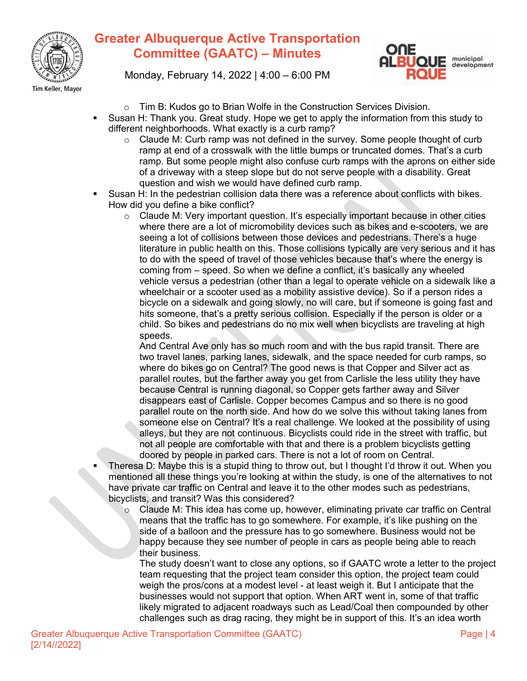



Monday, February 14, 2022 | 4:00 – 6:00 PM

- o Tim B: Kudos go to Brian Wolfe in the Construction Services Division.
- Susan H: Thank you. Great study. Hope we get to apply the information from this study to different neighborhoods. What exactly is a curb ramp?
	- $\circ$  Claude M: Curb ramp was not defined in the survey. Some people thought of curb ramp at end of a crosswalk with the little bumps or truncated domes. That's a curb ramp. But some people might also confuse curb ramps with the aprons on either side of a driveway with a steep slope but do not serve people with a disability. Great question and wish we would have defined curb ramp.
- Susan H: In the pedestrian collision data there was a reference about conflicts with bikes. How did you define a bike conflict?
	- $\circ$  Claude M: Very important question. It's especially important because in other cities where there are a lot of micromobility devices such as bikes and e-scooters, we are seeing a lot of collisions between those devices and pedestrians. There's a huge literature in public health on this. Those collisions typically are very serious and it has to do with the speed of travel of those vehicles because that's where the energy is coming from – speed. So when we define a conflict, it's basically any wheeled vehicle versus a pedestrian (other than a legal to operate vehicle on a sidewalk like a wheelchair or a scooter used as a mobility assistive device). So if a person rides a bicycle on a sidewalk and going slowly, no will care, but if someone is going fast and hits someone, that's a pretty serious collision. Especially if the person is older or a child. So bikes and pedestrians do no mix well when bicyclists are traveling at high speeds.

And Central Ave only has so much room and with the bus rapid transit. There are two travel lanes, parking lanes, sidewalk, and the space needed for curb ramps, so where do bikes go on Central? The good news is that Copper and Silver act as parallel routes, but the farther away you get from Carlisle the less utility they have because Central is running diagonal, so Copper gets farther away and Silver disappears east of Carlisle. Copper becomes Campus and so there is no good parallel route on the north side. And how do we solve this without taking lanes from someone else on Central? It's a real challenge. We looked at the possibility of using alleys, but they are not continuous. Bicyclists could ride in the street with traffic, but not all people are comfortable with that and there is a problem bicyclists getting doored by people in parked cars. There is not a lot of room on Central.

- Theresa D: Maybe this is a stupid thing to throw out, but I thought I'd throw it out. When you mentioned all these things you're looking at within the study, is one of the alternatives to not have private car traffic on Central and leave it to the other modes such as pedestrians, bicyclists, and transit? Was this considered?
	- $\circ$  Claude M: This idea has come up, however, eliminating private car traffic on Central means that the traffic has to go somewhere. For example, it's like pushing on the side of a balloon and the pressure has to go somewhere. Business would not be happy because they see number of people in cars as people being able to reach their business.

The study doesn't want to close any options, so if GAATC wrote a letter to the project team requesting that the project team consider this option, the project team could weigh the pros/cons at a modest level - at least weigh it. But I anticipate that the businesses would not support that option. When ART went in, some of that traffic likely migrated to adjacent roadways such as Lead/Coal then compounded by other challenges such as drag racing, they might be in support of this. It's an idea worth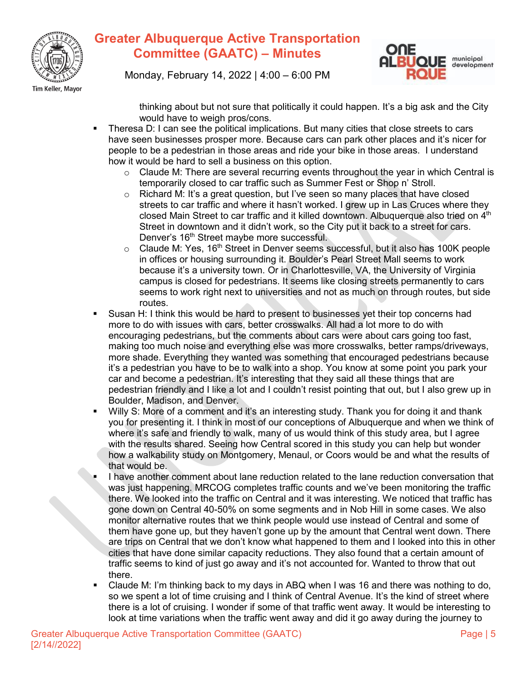



Monday, February 14, 2022 | 4:00 – 6:00 PM

thinking about but not sure that politically it could happen. It's a big ask and the City would have to weigh pros/cons.

- Theresa D: I can see the political implications. But many cities that close streets to cars have seen businesses prosper more. Because cars can park other places and it's nicer for people to be a pedestrian in those areas and ride your bike in those areas. I understand how it would be hard to sell a business on this option.
	- o Claude M: There are several recurring events throughout the year in which Central is temporarily closed to car traffic such as Summer Fest or Shop n' Stroll.
	- $\circ$  Richard M: It's a great question, but I've seen so many places that have closed streets to car traffic and where it hasn't worked. I grew up in Las Cruces where they closed Main Street to car traffic and it killed downtown. Albuquerque also tried on  $4<sup>th</sup>$ Street in downtown and it didn't work, so the City put it back to a street for cars. Denver's 16<sup>th</sup> Street maybe more successful.
	- $\circ$  Claude M: Yes, 16<sup>th</sup> Street in Denver seems successful, but it also has 100K people in offices or housing surrounding it. Boulder's Pearl Street Mall seems to work because it's a university town. Or in Charlottesville, VA, the University of Virginia campus is closed for pedestrians. It seems like closing streets permanently to cars seems to work right next to universities and not as much on through routes, but side routes.
- Susan H: I think this would be hard to present to businesses yet their top concerns had more to do with issues with cars, better crosswalks. All had a lot more to do with encouraging pedestrians, but the comments about cars were about cars going too fast, making too much noise and everything else was more crosswalks, better ramps/driveways, more shade. Everything they wanted was something that encouraged pedestrians because it's a pedestrian you have to be to walk into a shop. You know at some point you park your car and become a pedestrian. It's interesting that they said all these things that are pedestrian friendly and I like a lot and I couldn't resist pointing that out, but I also grew up in Boulder, Madison, and Denver.
- Willy S: More of a comment and it's an interesting study. Thank you for doing it and thank you for presenting it. I think in most of our conceptions of Albuquerque and when we think of where it's safe and friendly to walk, many of us would think of this study area, but I agree with the results shared. Seeing how Central scored in this study you can help but wonder how a walkability study on Montgomery, Menaul, or Coors would be and what the results of that would be.
- I have another comment about lane reduction related to the lane reduction conversation that was just happening. MRCOG completes traffic counts and we've been monitoring the traffic there. We looked into the traffic on Central and it was interesting. We noticed that traffic has gone down on Central 40-50% on some segments and in Nob Hill in some cases. We also monitor alternative routes that we think people would use instead of Central and some of them have gone up, but they haven't gone up by the amount that Central went down. There are trips on Central that we don't know what happened to them and I looked into this in other cities that have done similar capacity reductions. They also found that a certain amount of traffic seems to kind of just go away and it's not accounted for. Wanted to throw that out there.
- Claude M: I'm thinking back to my days in ABQ when I was 16 and there was nothing to do, so we spent a lot of time cruising and I think of Central Avenue. It's the kind of street where there is a lot of cruising. I wonder if some of that traffic went away. It would be interesting to look at time variations when the traffic went away and did it go away during the journey to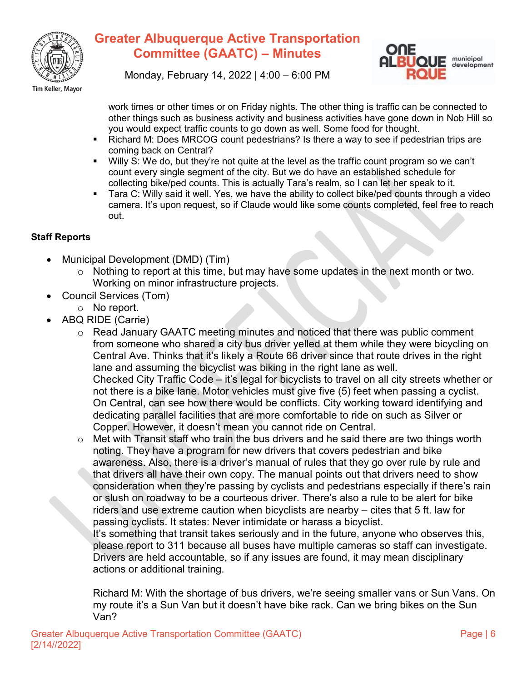



Monday, February 14, 2022 | 4:00 – 6:00 PM

work times or other times or on Friday nights. The other thing is traffic can be connected to other things such as business activity and business activities have gone down in Nob Hill so you would expect traffic counts to go down as well. Some food for thought.

- Richard M: Does MRCOG count pedestrians? Is there a way to see if pedestrian trips are coming back on Central?
- Willy S: We do, but they're not quite at the level as the traffic count program so we can't count every single segment of the city. But we do have an established schedule for collecting bike/ped counts. This is actually Tara's realm, so I can let her speak to it.
- **Tara C: Willy said it well. Yes, we have the ability to collect bike/ped counts through a video** camera. It's upon request, so if Claude would like some counts completed, feel free to reach out.

### **Staff Reports**

- Municipal Development (DMD) (Tim)
	- o Nothing to report at this time, but may have some updates in the next month or two. Working on minor infrastructure projects.
- Council Services (Tom)
	- o No report.
- ABQ RIDE (Carrie)
	- o Read January GAATC meeting minutes and noticed that there was public comment from someone who shared a city bus driver yelled at them while they were bicycling on Central Ave. Thinks that it's likely a Route 66 driver since that route drives in the right lane and assuming the bicyclist was biking in the right lane as well. Checked City Traffic Code – it's legal for bicyclists to travel on all city streets whether or not there is a bike lane. Motor vehicles must give five (5) feet when passing a cyclist.

On Central, can see how there would be conflicts. City working toward identifying and dedicating parallel facilities that are more comfortable to ride on such as Silver or Copper. However, it doesn't mean you cannot ride on Central.

 $\circ$  Met with Transit staff who train the bus drivers and he said there are two things worth noting. They have a program for new drivers that covers pedestrian and bike awareness. Also, there is a driver's manual of rules that they go over rule by rule and that drivers all have their own copy. The manual points out that drivers need to show consideration when they're passing by cyclists and pedestrians especially if there's rain or slush on roadway to be a courteous driver. There's also a rule to be alert for bike riders and use extreme caution when bicyclists are nearby – cites that 5 ft. law for passing cyclists. It states: Never intimidate or harass a bicyclist.

It's something that transit takes seriously and in the future, anyone who observes this, please report to 311 because all buses have multiple cameras so staff can investigate. Drivers are held accountable, so if any issues are found, it may mean disciplinary actions or additional training.

Richard M: With the shortage of bus drivers, we're seeing smaller vans or Sun Vans. On my route it's a Sun Van but it doesn't have bike rack. Can we bring bikes on the Sun Van?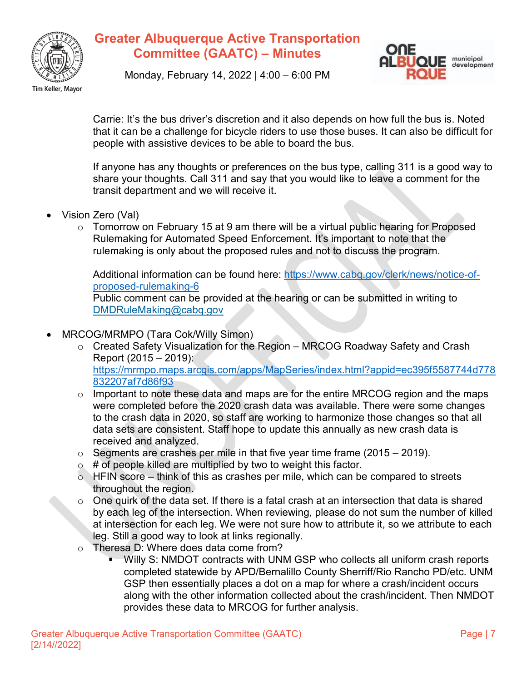



Monday, February 14, 2022 | 4:00 – 6:00 PM

Carrie: It's the bus driver's discretion and it also depends on how full the bus is. Noted that it can be a challenge for bicycle riders to use those buses. It can also be difficult for people with assistive devices to be able to board the bus.

If anyone has any thoughts or preferences on the bus type, calling 311 is a good way to share your thoughts. Call 311 and say that you would like to leave a comment for the transit department and we will receive it.

- Vision Zero (Val)
	- o Tomorrow on February 15 at 9 am there will be a virtual public hearing for Proposed Rulemaking for Automated Speed Enforcement. It's important to note that the rulemaking is only about the proposed rules and not to discuss the program.

Additional information can be found here: https://www.cabg.gov/clerk/news/notice-of[proposed-rulemaking-6](https://www.cabq.gov/clerk/news/notice-of-proposed-rulemaking-6)

Public comment can be provided at the hearing or can be submitted in writing to [DMDRuleMaking@cabq.gov](mailto:DMDRuleMaking@cabq.gov)

- MRCOG/MRMPO (Tara Cok/Willy Simon)
	- o Created Safety Visualization for the Region MRCOG Roadway Safety and Crash Report (2015 – 2019): [https://mrmpo.maps.arcgis.com/apps/MapSeries/index.html?appid=ec395f5587744d778](https://mrmpo.maps.arcgis.com/apps/MapSeries/index.html?appid=ec395f5587744d778832207af7d86f93) [832207af7d86f93](https://mrmpo.maps.arcgis.com/apps/MapSeries/index.html?appid=ec395f5587744d778832207af7d86f93)
	- $\circ$  Important to note these data and maps are for the entire MRCOG region and the maps were completed before the 2020 crash data was available. There were some changes to the crash data in 2020, so staff are working to harmonize those changes so that all data sets are consistent. Staff hope to update this annually as new crash data is received and analyzed.
	- $\circ$  Segments are crashes per mile in that five year time frame (2015 2019).
	- $\circ$  # of people killed are multiplied by two to weight this factor.
	- $\circ$  HFIN score think of this as crashes per mile, which can be compared to streets throughout the region.
	- $\circ$  One quirk of the data set. If there is a fatal crash at an intersection that data is shared by each leg of the intersection. When reviewing, please do not sum the number of killed at intersection for each leg. We were not sure how to attribute it, so we attribute to each leg. Still a good way to look at links regionally.
	- o Theresa D: Where does data come from?<br>Willy S: NMDOT contracts with UNI
		- Willy S: NMDOT contracts with UNM GSP who collects all uniform crash reports completed statewide by APD/Bernalillo County Sherriff/Rio Rancho PD/etc. UNM GSP then essentially places a dot on a map for where a crash/incident occurs along with the other information collected about the crash/incident. Then NMDOT provides these data to MRCOG for further analysis.